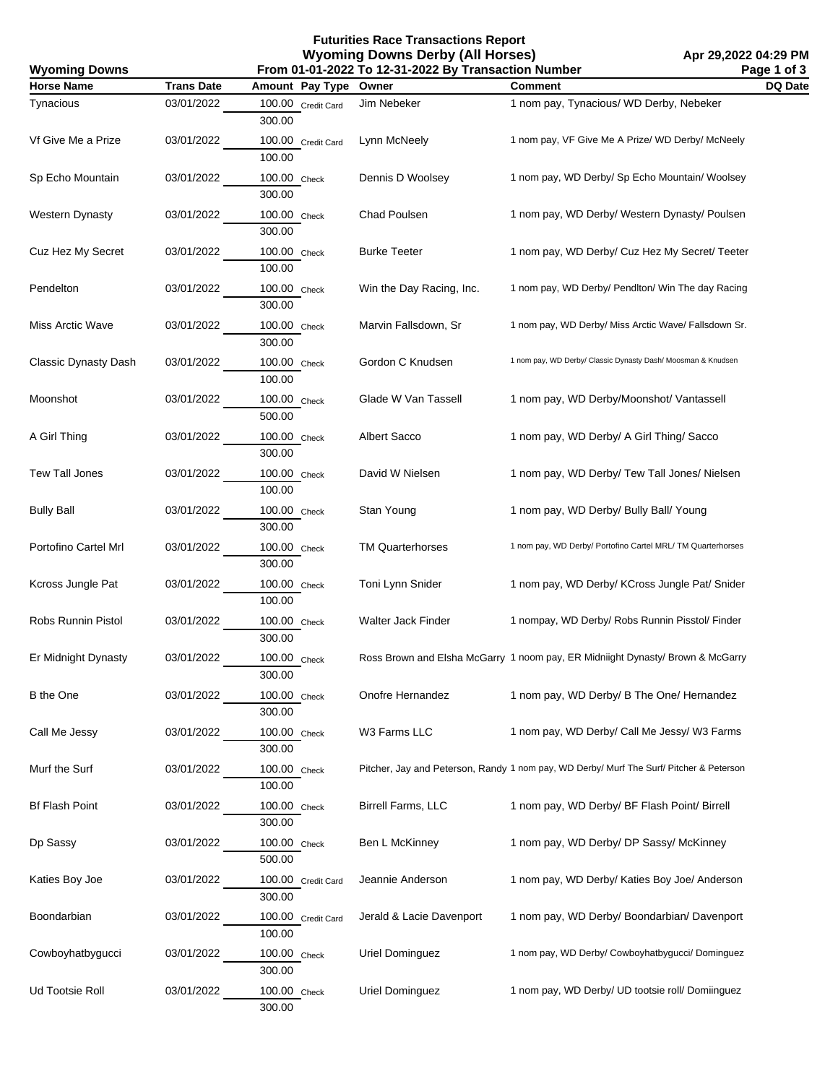**Futurities Race Transactions Report Wyoming Downs Derby (All Horses)**

| From 01-01-2022 To 12-31-2022 By Transaction Number<br><b>Wyoming Downs</b> |                   |                              |                          |                                                                                         | Page 1 of 3 |
|-----------------------------------------------------------------------------|-------------------|------------------------------|--------------------------|-----------------------------------------------------------------------------------------|-------------|
| <b>Horse Name</b>                                                           | <b>Trans Date</b> | Amount Pay Type              | Owner                    | <b>Comment</b>                                                                          | DQ Date     |
| Tynacious                                                                   | 03/01/2022        | 100.00 Credit Card<br>300.00 | Jim Nebeker              | 1 nom pay, Tynacious/ WD Derby, Nebeker                                                 |             |
| Vf Give Me a Prize                                                          | 03/01/2022        | 100.00 Credit Card<br>100.00 | Lynn McNeely             | 1 nom pay, VF Give Me A Prize/ WD Derby/ McNeely                                        |             |
| Sp Echo Mountain                                                            | 03/01/2022        | 100.00 Check<br>300.00       | Dennis D Woolsey         | 1 nom pay, WD Derby/ Sp Echo Mountain/ Woolsey                                          |             |
| <b>Western Dynasty</b>                                                      | 03/01/2022        | 100.00 Check<br>300.00       | Chad Poulsen             | 1 nom pay, WD Derby/ Western Dynasty/ Poulsen                                           |             |
| Cuz Hez My Secret                                                           | 03/01/2022        | 100.00 Check<br>100.00       | <b>Burke Teeter</b>      | 1 nom pay, WD Derby/ Cuz Hez My Secret/ Teeter                                          |             |
| Pendelton                                                                   | 03/01/2022        | 100.00 Check<br>300.00       | Win the Day Racing, Inc. | 1 nom pay, WD Derby/ PendIton/ Win The day Racing                                       |             |
| Miss Arctic Wave                                                            | 03/01/2022        | 100.00 Check<br>300.00       | Marvin Fallsdown, Sr     | 1 nom pay, WD Derby/ Miss Arctic Wave/ Fallsdown Sr.                                    |             |
| Classic Dynasty Dash                                                        | 03/01/2022        | 100.00 Check<br>100.00       | Gordon C Knudsen         | 1 nom pay, WD Derby/ Classic Dynasty Dash/ Moosman & Knudsen                            |             |
| Moonshot                                                                    | 03/01/2022        | 100.00 Check<br>500.00       | Glade W Van Tassell      | 1 nom pay, WD Derby/Moonshot/ Vantassell                                                |             |
| A Girl Thing                                                                | 03/01/2022        | 100.00 Check<br>300.00       | Albert Sacco             | 1 nom pay, WD Derby/ A Girl Thing/ Sacco                                                |             |
| Tew Tall Jones                                                              | 03/01/2022        | 100.00 Check<br>100.00       | David W Nielsen          | 1 nom pay, WD Derby/ Tew Tall Jones/ Nielsen                                            |             |
| <b>Bully Ball</b>                                                           | 03/01/2022        | 100.00 Check<br>300.00       | Stan Young               | 1 nom pay, WD Derby/ Bully Ball/ Young                                                  |             |
| Portofino Cartel Mrl                                                        | 03/01/2022        | 100.00 Check<br>300.00       | <b>TM Quarterhorses</b>  | 1 nom pay, WD Derby/ Portofino Cartel MRL/ TM Quarterhorses                             |             |
| Kcross Jungle Pat                                                           | 03/01/2022        | 100.00 Check<br>100.00       | Toni Lynn Snider         | 1 nom pay, WD Derby/ KCross Jungle Pat/ Snider                                          |             |
| Robs Runnin Pistol                                                          | 03/01/2022        | 100.00 Check<br>300.00       | Walter Jack Finder       | 1 nompay, WD Derby/ Robs Runnin Pisstol/ Finder                                         |             |
| Er Midnight Dynasty                                                         | 03/01/2022        | 100.00 Check<br>300.00       |                          | Ross Brown and Elsha McGarry 1 noom pay, ER Midniight Dynasty/ Brown & McGarry          |             |
| <b>B</b> the One                                                            | 03/01/2022        | 100.00 Check<br>300.00       | Onofre Hernandez         | 1 nom pay, WD Derby/ B The One/ Hernandez                                               |             |
| Call Me Jessy                                                               | 03/01/2022        | 100.00 Check<br>300.00       | W3 Farms LLC             | 1 nom pay, WD Derby/ Call Me Jessy/ W3 Farms                                            |             |
| Murf the Surf                                                               | 03/01/2022        | 100.00 Check<br>100.00       |                          | Pitcher, Jay and Peterson, Randy 1 nom pay, WD Derby/ Murf The Surf/ Pitcher & Peterson |             |
| <b>Bf Flash Point</b>                                                       | 03/01/2022        | 100.00 Check<br>300.00       | Birrell Farms, LLC       | 1 nom pay, WD Derby/ BF Flash Point/ Birrell                                            |             |
| Dp Sassy                                                                    | 03/01/2022        | 100.00 Check<br>500.00       | Ben L McKinney           | 1 nom pay, WD Derby/ DP Sassy/ McKinney                                                 |             |
| Katies Boy Joe                                                              | 03/01/2022        | 100.00 Credit Card<br>300.00 | Jeannie Anderson         | 1 nom pay, WD Derby/ Katies Boy Joe/ Anderson                                           |             |
| Boondarbian                                                                 | 03/01/2022        | 100.00 Credit Card<br>100.00 | Jerald & Lacie Davenport | 1 nom pay, WD Derby/ Boondarbian/ Davenport                                             |             |
| Cowboyhatbygucci                                                            | 03/01/2022        | 100.00 Check<br>300.00       | Uriel Dominguez          | 1 nom pay, WD Derby/ Cowboyhatbygucci/ Dominguez                                        |             |
| Ud Tootsie Roll                                                             | 03/01/2022        | 100.00 Check<br>300.00       | Uriel Dominguez          | 1 nom pay, WD Derby/ UD tootsie roll/ Domiinguez                                        |             |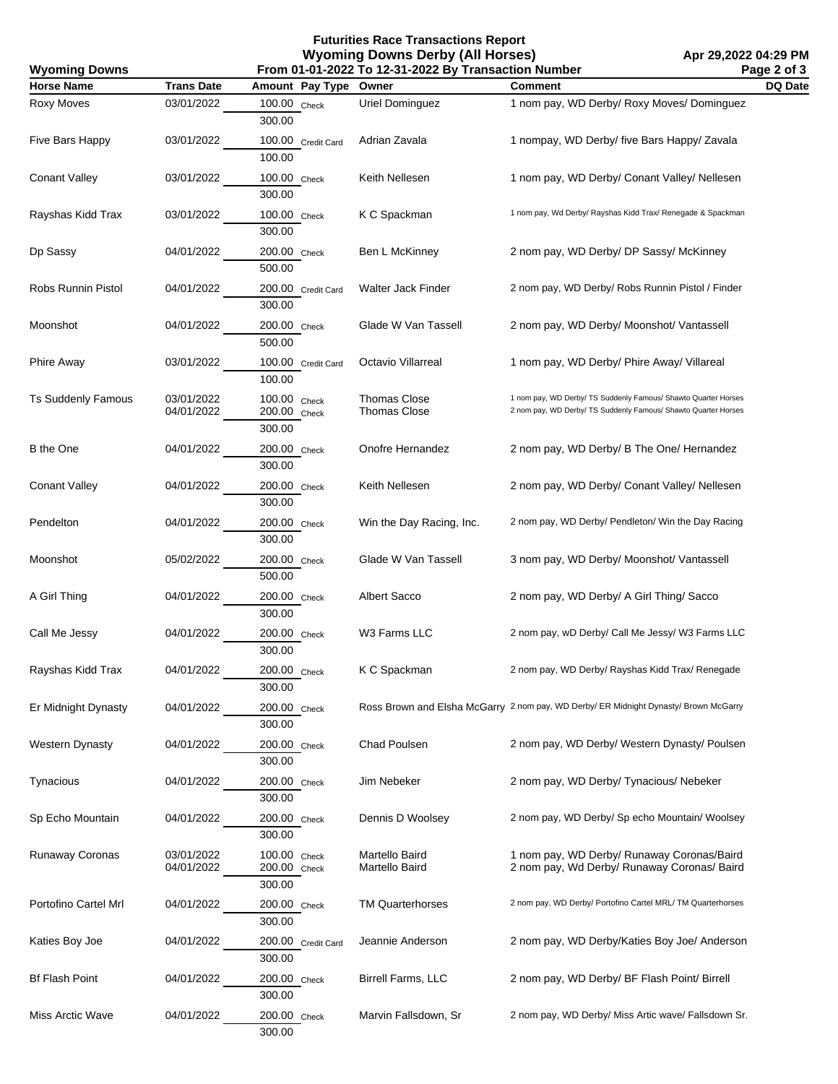**Futurities Race Transactions Report Wyoming Downs Derby (All Horses) From 01-01-2022 To 12-31-2022 By Transaction Number**

| From 01-01-2022 To 12-31-2022 By Transaction Number<br><b>Wyoming Downs</b> |                          |                                           |                                            |                                                                                                                                  | Page 2 of 3 |
|-----------------------------------------------------------------------------|--------------------------|-------------------------------------------|--------------------------------------------|----------------------------------------------------------------------------------------------------------------------------------|-------------|
| <b>Horse Name</b>                                                           | <b>Trans Date</b>        | Amount Pay Type                           | Owner                                      | <b>Comment</b>                                                                                                                   | DQ Date     |
| Roxy Moves                                                                  | 03/01/2022               | 100.00 Check<br>300.00                    | Uriel Dominguez                            | 1 nom pay, WD Derby/ Roxy Moves/ Dominguez                                                                                       |             |
| Five Bars Happy                                                             | 03/01/2022               | 100.00 Credit Card<br>100.00              | Adrian Zavala                              | 1 nompay, WD Derby/ five Bars Happy/ Zavala                                                                                      |             |
| <b>Conant Valley</b>                                                        | 03/01/2022               | 100.00 Check<br>300.00                    | Keith Nellesen                             | 1 nom pay, WD Derby/ Conant Valley/ Nellesen                                                                                     |             |
| Rayshas Kidd Trax                                                           | 03/01/2022               | 100.00 Check<br>300.00                    | K C Spackman                               | 1 nom pay, Wd Derby/ Rayshas Kidd Trax/ Renegade & Spackman                                                                      |             |
| Dp Sassy                                                                    | 04/01/2022               | 200.00 Check<br>500.00                    | Ben L McKinney                             | 2 nom pay, WD Derby/ DP Sassy/ McKinney                                                                                          |             |
| Robs Runnin Pistol                                                          | 04/01/2022               | 200.00 Credit Card<br>300.00              | Walter Jack Finder                         | 2 nom pay, WD Derby/ Robs Runnin Pistol / Finder                                                                                 |             |
| Moonshot                                                                    | 04/01/2022               | 200.00 Check<br>500.00                    | Glade W Van Tassell                        | 2 nom pay, WD Derby/ Moonshot/ Vantassell                                                                                        |             |
| <b>Phire Away</b>                                                           | 03/01/2022               | 100.00 Credit Card<br>100.00              | Octavio Villarreal                         | 1 nom pay, WD Derby/ Phire Away/ Villareal                                                                                       |             |
| <b>Ts Suddenly Famous</b>                                                   | 03/01/2022<br>04/01/2022 | 100.00 Check<br>200.00 Check<br>300.00    | <b>Thomas Close</b><br><b>Thomas Close</b> | 1 nom pay, WD Derby/ TS Suddenly Famous/ Shawto Quarter Horses<br>2 nom pay, WD Derby/ TS Suddenly Famous/ Shawto Quarter Horses |             |
| B the One                                                                   | 04/01/2022               | 200.00 Check<br>300.00                    | Onofre Hernandez                           | 2 nom pay, WD Derby/ B The One/ Hernandez                                                                                        |             |
| <b>Conant Valley</b>                                                        | 04/01/2022               | 200.00 Check<br>300.00                    | Keith Nellesen                             | 2 nom pay, WD Derby/ Conant Valley/ Nellesen                                                                                     |             |
| Pendelton                                                                   | 04/01/2022               | 200.00 Check<br>300.00                    | Win the Day Racing, Inc.                   | 2 nom pay, WD Derby/ Pendleton/ Win the Day Racing                                                                               |             |
| Moonshot                                                                    | 05/02/2022               | 200.00 Check<br>500.00                    | Glade W Van Tassell                        | 3 nom pay, WD Derby/ Moonshot/ Vantassell                                                                                        |             |
| A Girl Thing                                                                | 04/01/2022               | 200.00 Check<br>300.00                    | Albert Sacco                               | 2 nom pay, WD Derby/ A Girl Thing/ Sacco                                                                                         |             |
| Call Me Jessy                                                               | 04/01/2022               | 200.00 Check<br>300.00                    | W3 Farms LLC                               | 2 nom pay, wD Derby/ Call Me Jessy/ W3 Farms LLC                                                                                 |             |
| Rayshas Kidd Trax                                                           | 04/01/2022               | 200.00 Check<br>300.00                    | K C Spackman                               | 2 nom pay, WD Derby/ Rayshas Kidd Trax/ Renegade                                                                                 |             |
| Er Midnight Dynasty                                                         | 04/01/2022               | 200.00 Check<br>300.00                    |                                            | Ross Brown and Elsha McGarry 2 nom pay, WD Derby/ ER Midnight Dynasty/ Brown McGarry                                             |             |
| <b>Western Dynasty</b>                                                      | 04/01/2022               | 200.00 Check<br>300.00                    | <b>Chad Poulsen</b>                        | 2 nom pay, WD Derby/ Western Dynasty/ Poulsen                                                                                    |             |
| Tynacious                                                                   | 04/01/2022               | 200.00 Check<br>300.00                    | Jim Nebeker                                | 2 nom pay, WD Derby/ Tynacious/ Nebeker                                                                                          |             |
| Sp Echo Mountain                                                            | 04/01/2022               | 200.00 Check<br>300.00                    | Dennis D Woolsey                           | 2 nom pay, WD Derby/ Sp echo Mountain/ Woolsey                                                                                   |             |
| Runaway Coronas                                                             | 03/01/2022<br>04/01/2022 | 100.00<br>Check<br>200.00 Check<br>300.00 | Martello Baird<br>Martello Baird           | 1 nom pay, WD Derby/ Runaway Coronas/Baird<br>2 nom pay, Wd Derby/ Runaway Coronas/ Baird                                        |             |
| Portofino Cartel Mrl                                                        | 04/01/2022               | 200.00 Check<br>300.00                    | <b>TM Quarterhorses</b>                    | 2 nom pay, WD Derby/ Portofino Cartel MRL/ TM Quarterhorses                                                                      |             |
| Katies Boy Joe                                                              | 04/01/2022               | 200.00 Credit Card<br>300.00              | Jeannie Anderson                           | 2 nom pay, WD Derby/Katies Boy Joe/ Anderson                                                                                     |             |
| <b>Bf Flash Point</b>                                                       | 04/01/2022               | 200.00 Check<br>300.00                    | <b>Birrell Farms, LLC</b>                  | 2 nom pay, WD Derby/ BF Flash Point/ Birrell                                                                                     |             |
| Miss Arctic Wave                                                            | 04/01/2022               | 200.00 Check<br>300.00                    | Marvin Fallsdown, Sr                       | 2 nom pay, WD Derby/ Miss Artic wave/ Fallsdown Sr.                                                                              |             |